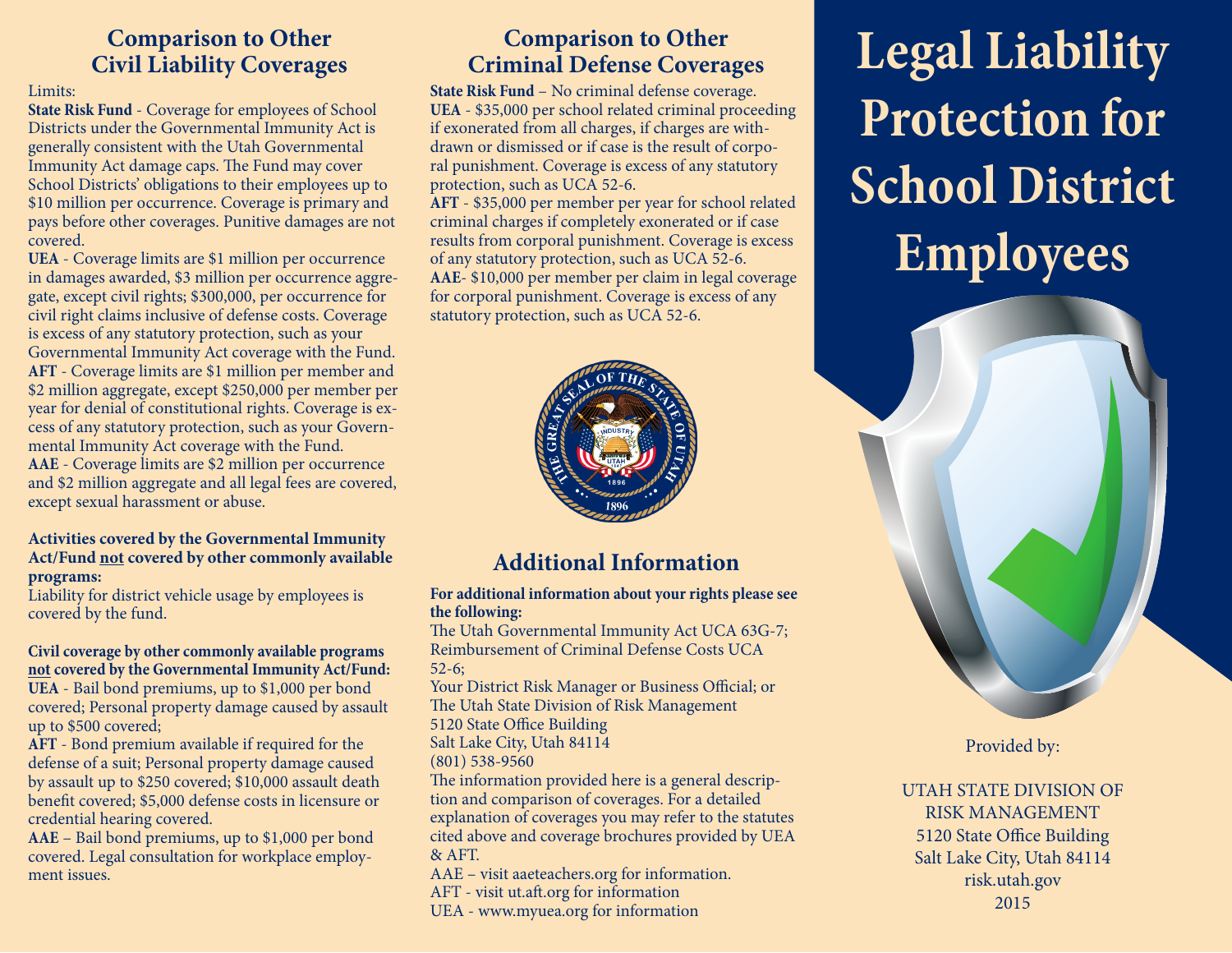#### **Comparison to Other Civil Liability Coverages**

#### Limits:

**State Risk Fund** - Coverage for employees of School Districts under the Governmental Immunity Act is generally consistent with the Utah Governmental Immunity Act damage caps. The Fund may cover School Districts' obligations to their employees up to \$10 million per occurrence. Coverage is primary and pays before other coverages. Punitive damages are not covered.

**UEA** - Coverage limits are \$1 million per occurrence in damages awarded, \$3 million per occurrence aggregate, except civil rights; \$300,000, per occurrence for civil right claims inclusive of defense costs. Coverage is excess of any statutory protection, such as your Governmental Immunity Act coverage with the Fund. **AFT** - Coverage limits are \$1 million per member and \$2 million aggregate, except \$250,000 per member per year for denial of constitutional rights. Coverage is excess of any statutory protection, such as your Governmental Immunity Act coverage with the Fund. **AAE** - Coverage limits are \$2 million per occurrence and \$2 million aggregate and all legal fees are covered,

except sexual harassment or abuse.

#### **Activities covered by the Governmental Immunity Act/Fund not covered by other commonly available programs:**

Liability for district vehicle usage by employees is covered by the fund.

#### **Civil coverage by other commonly available programs not covered by the Governmental Immunity Act/Fund:**

**UEA** - Bail bond premiums, up to \$1,000 per bond covered; Personal property damage caused by assault up to \$500 covered;

**AFT** - Bond premium available if required for the defense of a suit; Personal property damage caused by assault up to \$250 covered; \$10,000 assault death benefit covered; \$5,000 defense costs in licensure or credential hearing covered.

**AAE** – Bail bond premiums, up to \$1,000 per bond covered. Legal consultation for workplace employment issues.

#### **Comparison to Other Criminal Defense Coverages**

**State Risk Fund** – No criminal defense coverage. **UEA** - \$35,000 per school related criminal proceeding if exonerated from all charges, if charges are withdrawn or dismissed or if case is the result of corporal punishment. Coverage is excess of any statutory protection, such as UCA 52-6.

**AFT** - \$35,000 per member per year for school related criminal charges if completely exonerated or if case results from corporal punishment. Coverage is excess of any statutory protection, such as UCA 52-6. **AAE**- \$10,000 per member per claim in legal coverage for corporal punishment. Coverage is excess of any statutory protection, such as UCA 52-6.



## **Additional Information**

#### **For additional information about your rights please see the following:**

The Utah Governmental Immunity Act UCA 63G-7; Reimbursement of Criminal Defense Costs UCA 52-6;

Your District Risk Manager or Business Official; or The Utah State Division of Risk Management 5120 State Office Building

Salt Lake City, Utah 84114

(801) 538-9560

The information provided here is a general description and comparison of coverages. For a detailed explanation of coverages you may refer to the statutes cited above and coverage brochures provided by UEA & AFT.

AAE – visit aaeteachers.org for information.

AFT - visit ut.aft.org for information

UEA - www.myuea.org for information

# **Legal Liability Protection for School District Employees**



Provided by:

UTAH STATE DIVISION OF RISK MANAGEMENT 5120 State Office Building Salt Lake City, Utah 84114 risk.utah.gov 2015